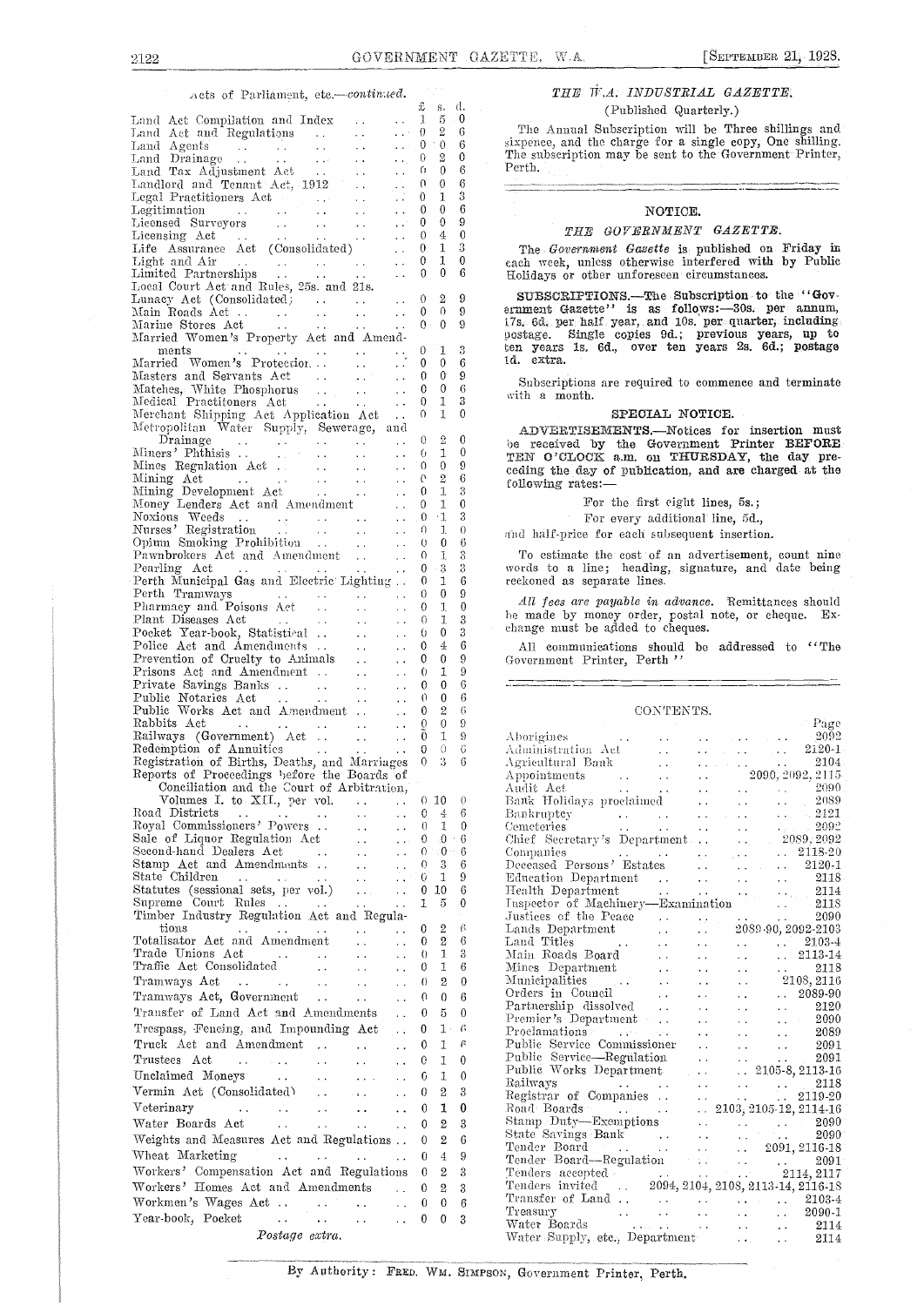### wets of Parliament, etc.-continued.

| 23000 OL 4 GAINGINGARY 0001 - 00101111111                                                                                                                                                                                                          | £                        | s. d.                      |                      | $\sim 10^{-1}$<br>(Published Quarterly.)                                                                                                                                                                                                                               |
|----------------------------------------------------------------------------------------------------------------------------------------------------------------------------------------------------------------------------------------------------|--------------------------|----------------------------|----------------------|------------------------------------------------------------------------------------------------------------------------------------------------------------------------------------------------------------------------------------------------------------------------|
| $\sim$ $\sim$ $\sim$ $\sim$ $1$<br>Land Act Compilation and Index<br>$\sim 10^{-10}$                                                                                                                                                               | $\theta$                 | - 5<br>2                   | $\overline{0}$<br>-6 | The Annual Subscription will be Three shillings and                                                                                                                                                                                                                    |
|                                                                                                                                                                                                                                                    | $\theta$                 | $\theta$                   | -6                   | sixpence, and the charge for a single copy, One shilling.                                                                                                                                                                                                              |
| $\sim$ 10 $\mu$                                                                                                                                                                                                                                    | $\theta$                 | $\overline{2}$             | $\mathbf{0}$         | The subscription may be sent to the Government Printer,<br>Perth.                                                                                                                                                                                                      |
| Landlord and Tenant Act, 1912                                                                                                                                                                                                                      | $\Omega$<br>$\theta$ .   | $\overline{0}$<br>$\theta$ | 6<br>$\epsilon$      |                                                                                                                                                                                                                                                                        |
| $\sim$ $\sim$<br>is a                                                                                                                                                                                                                              | $\mathbf{0}$             | 1                          | 3                    |                                                                                                                                                                                                                                                                        |
| $\sim 100$ km s $^{-1}$                                                                                                                                                                                                                            | $\mathbf{0}$             | $\mathbf{0}$               | 6                    | NOTICE.                                                                                                                                                                                                                                                                |
| $\sim 100$ km $^{-1}$<br>Licensing $Act \quad \ldots \quad \ldots \quad \ldots \quad \ldots$                                                                                                                                                       | $\mathbf{0}$<br>$\theta$ | $\overline{0}$<br>$\bf 4$  | 9<br>$\theta$        | THE GOVERNMENT GAZETTE.                                                                                                                                                                                                                                                |
| Life Assurance Act (Consolidated)                                                                                                                                                                                                                  | $\theta$                 | 1                          | 3                    | The Government Gasette is published on Friday in                                                                                                                                                                                                                       |
| Light and Air (1999)<br>Limited Partnerships (1999)<br>Limited Partnerships (1999)                                                                                                                                                                 | $\mathbf{0}$             | 1                          | $\mathbf{0}$         | each week, unless otherwise interfered with by Public                                                                                                                                                                                                                  |
|                                                                                                                                                                                                                                                    | $\theta$                 | $\bf{0}$                   | -6                   | Holidays or other unforeseen circumstances.                                                                                                                                                                                                                            |
| Local Court Act and Rules, 25s. and 21s.<br>Lunacy Act (Consolidated)                                                                                                                                                                              | $\theta$                 | $^{2}$                     | 9                    | SUBSCRIPTIONS.--The Subscription to the "Gov-                                                                                                                                                                                                                          |
| Main Roads Act 0<br>Marine Stores Act 0                                                                                                                                                                                                            |                          | $\Omega$                   | -9                   | ernment Gazette" is as follows:-30s. per annum,                                                                                                                                                                                                                        |
|                                                                                                                                                                                                                                                    |                          | $0 - 0$                    | - 9                  | 17s. 6d. per half year, and 10s. per quarter, including.<br>postage. Single copies 9d.; previous years, up to                                                                                                                                                          |
| Married Women's Property Act and Amend-<br>ments<br>and the second contract of the second second<br>$\sim 10^{-1}$                                                                                                                                 | $\mathbf{0}$             | 1                          | -3                   | ten years 1s. 6d., over ten years 2s. 6d.; postage                                                                                                                                                                                                                     |
| Married Women's Protection.                                                                                                                                                                                                                        | $\mathbf{0}$             | $\overline{0}$             | 6                    | id. extra.                                                                                                                                                                                                                                                             |
|                                                                                                                                                                                                                                                    | $\Omega$                 | $\mathbf{0}$               | 9                    | Subscriptions are required to commence and terminate                                                                                                                                                                                                                   |
|                                                                                                                                                                                                                                                    | $\theta$<br>$\theta$     | $\theta$<br>1              | -6<br>- 3            | with a month.                                                                                                                                                                                                                                                          |
| Merchant Shipping Act Application Act                                                                                                                                                                                                              |                          | $0 \t1$                    | $\overline{0}$       | SPECIAL NOTICE.                                                                                                                                                                                                                                                        |
| Metropolitan Water Supply, Sewerage, and                                                                                                                                                                                                           |                          |                            |                      | ADVERTISEMENTS.-Notices for insertion must                                                                                                                                                                                                                             |
| Drainage<br>and a series of the contract of the contract of                                                                                                                                                                                        | $\theta$<br>-6           | $\overline{2}$<br>1        | $\overline{0}$<br>0  | be received by the Government Printer BEFORE                                                                                                                                                                                                                           |
|                                                                                                                                                                                                                                                    |                          | $\theta$                   | 9                    | TEN O'CLOCK a.m. on THURSDAY, the day pre-                                                                                                                                                                                                                             |
|                                                                                                                                                                                                                                                    |                          | $\mathbf{2}$               | 6                    | ceding the day of publication, and are charged at the<br>following rates:-                                                                                                                                                                                             |
|                                                                                                                                                                                                                                                    |                          | $\mathbf{I}$               | 3                    |                                                                                                                                                                                                                                                                        |
|                                                                                                                                                                                                                                                    |                          | 1<br>$\cdot$ 1             | $\theta$<br>3        | For the first eight lines, 5s.;<br>For every additional line, 5d.,                                                                                                                                                                                                     |
|                                                                                                                                                                                                                                                    |                          | $\mathbf{I}$ .             | $\theta$             | and half-price for each subsequent insertion.                                                                                                                                                                                                                          |
|                                                                                                                                                                                                                                                    | $\theta$                 | $\theta$                   | 6                    |                                                                                                                                                                                                                                                                        |
| Pawnbrokers Act and Amendment                                                                                                                                                                                                                      | $\Omega$<br>$\theta$     | $\overline{1}$<br>3        | $\mathbf{3}$<br>3    | To estimate the cost of an advertisement, count nine<br>words to a line; heading, signature, and date being                                                                                                                                                            |
| Pearling Act<br>Perth Municipal Gas and Electric Lighting                                                                                                                                                                                          | $\theta$                 | $\mathbf{I}$               | 6                    | reckoned as separate lines.                                                                                                                                                                                                                                            |
|                                                                                                                                                                                                                                                    | $\theta$                 | $\overline{0}$             | 9                    | All fees are payable in advance. Remittances should                                                                                                                                                                                                                    |
|                                                                                                                                                                                                                                                    | $\theta$<br>$\theta$     | $\mathbf{I}$               | $\bf{0}$<br>3        | be made by money order, postal note, or cheque. Ex-                                                                                                                                                                                                                    |
|                                                                                                                                                                                                                                                    | $\theta$                 | 1<br>$\Omega$              | 3                    | change must be added to cheques.                                                                                                                                                                                                                                       |
| Police Act and Amendments<br>$\sim 10^{-1}$                                                                                                                                                                                                        | $\theta$                 | $\overline{4}$             | 6                    | All communications should be addressed to "The                                                                                                                                                                                                                         |
| Prevention of Cruelty to Animals                                                                                                                                                                                                                   | $\theta$                 | $\theta$                   | 9                    | Government Printer, Perth"                                                                                                                                                                                                                                             |
| Prisons Act and Amendment                                                                                                                                                                                                                          | $\theta$<br>$\mathbf{0}$ | 1<br>$\mathbf{0}$          | 9<br>6               |                                                                                                                                                                                                                                                                        |
|                                                                                                                                                                                                                                                    | $\Omega$                 | $\bf{0}$                   | 6                    |                                                                                                                                                                                                                                                                        |
|                                                                                                                                                                                                                                                    | $\theta$                 | $\overline{2}$             | 6                    | CONTENTS.                                                                                                                                                                                                                                                              |
| Rabbits Act<br>$\mathcal{L}^{\mathcal{A}}$ . The contribution of the contribution of the contribution of $\mathcal{L}^{\mathcal{A}}$                                                                                                               | $\theta$                 | $\theta$                   | 9                    | Page                                                                                                                                                                                                                                                                   |
| Railways (Government) Act    0 1<br>Redemption of Annuities 0                                                                                                                                                                                      |                          | $\theta$                   | 9<br>-6              |                                                                                                                                                                                                                                                                        |
| Registration of Births, Deaths, and Marriages 0 3 6                                                                                                                                                                                                |                          |                            |                      | $\begin{tabular}{l cccccc} Administration & Act & & . & . & . & . & . & 2120-1. \\ \hline Agricultural Bank & & . & . & . & . & . & . & . & . & 2104 \\ \hline A ppointments & & . & . & . & . & . & . & . & . & . & . & . & . \\ \end{tabular}$                       |
| Reports of Proceedings before the Boards of                                                                                                                                                                                                        |                          |                            |                      |                                                                                                                                                                                                                                                                        |
| Conciliation and the Court of Arbitration,<br>Volumes I. to XII., per vol.<br>$\sim 10^7$<br>$\sim$ $\sim$                                                                                                                                         |                          | 0, 10                      | $\theta$             | 2090<br>Audit Act<br>2089                                                                                                                                                                                                                                              |
| Road Districts<br>the company of the company of the<br>$\sim 10^7$<br>$\sim 10^{-1}$                                                                                                                                                               | $\mathbf{0}$             | $\frac{4}{3}$              | -6                   |                                                                                                                                                                                                                                                                        |
| Royal Commissioners' Powers<br>$\sim 10^{-1}$                                                                                                                                                                                                      | $0 -$                    | 1                          | $\mathbf{0}$         | Bankruptcy<br>Cemeteries 2002<br>$\frac{2121}{2000}$                                                                                                                                                                                                                   |
| Sale of Liquor Regulation Act                                                                                                                                                                                                                      | $\theta$                 | $\pm 0 \pm 6$              |                      | Chief Secretary's Department  2089, 2092                                                                                                                                                                                                                               |
| Second-hand Dealers Act<br>Stamp Act and Amendments                                                                                                                                                                                                | $\Omega$                 | $0 - 0$<br>$3 -$           | 6<br>6               | Companies 2118-20<br>Deceased Persons' Estates 2120-1                                                                                                                                                                                                                  |
|                                                                                                                                                                                                                                                    | $\mathbf{C}$             | $\mathbf{1}$               | 9                    | 2118                                                                                                                                                                                                                                                                   |
| Statutes (sessional sets, per vol.)   0 10                                                                                                                                                                                                         |                          |                            | -6                   | Health Department<br>2114                                                                                                                                                                                                                                              |
| Timber Industry Regulation Act and Regula-                                                                                                                                                                                                         |                          | $1\quad 5$                 | $\overline{0}$       | Inspector of Machinery-Examination<br>211S                                                                                                                                                                                                                             |
| tions<br>$\mathcal{L}^{\mathcal{L}}$ . The contract of the contract of the contract of the contract of the contract of the contract of the contract of the contract of the contract of the contract of the contract of the contract of the contrac |                          | 0 <sub>2</sub>             | $\beta$              | Justices of the Feace<br>Lands Department<br>Land Titles<br>Land Titles<br>Land Titles<br>2009<br>2113-4                                                                                                                                                               |
| Totalisator Act and Amendment   0 2                                                                                                                                                                                                                |                          |                            | - 6                  |                                                                                                                                                                                                                                                                        |
|                                                                                                                                                                                                                                                    | $\theta$                 | $\mathbf{1}$               | 3<br>6               | Main Roads Board<br>Mines Department<br>Municipalities<br>Critics and Council<br>Municipalities<br>Critics and Council<br>Critics and Council<br>Critics and Council<br>Critics and Council<br>Critics and Council<br>Critics and Council<br>Critics                   |
| Tramways Act $\cdots$ 0                                                                                                                                                                                                                            |                          | $\mathbf{2}$               | $\mathbf{0}$         |                                                                                                                                                                                                                                                                        |
| Tramways Act, Government                                                                                                                                                                                                                           | $\theta$                 | $\theta$                   | 6                    |                                                                                                                                                                                                                                                                        |
| Transfer of Land Act and Amendments                                                                                                                                                                                                                | $\theta$                 | $5\,$                      | $\mathbf{0}$         |                                                                                                                                                                                                                                                                        |
| Trespass, Fencing, and Impounding Act                                                                                                                                                                                                              | $\bf{0}$                 |                            | $1 - 6$              | Premier's Department<br>2090<br>Proclamations executive contracts and the contract of the second second second second second second second second second second second second second second second second second second second second second second second sec<br>2089 |
|                                                                                                                                                                                                                                                    | $\mathbf{0}$             | $\mathbf{1}$               | $\beta$              | Public Service Commissioner<br>2091                                                                                                                                                                                                                                    |
|                                                                                                                                                                                                                                                    | $\theta$                 | $\mathbf{1}$               | $\mathbf{0}$         | Public Service—Regulation 2091<br>Public Works Department 2105-8, 2113-16                                                                                                                                                                                              |
|                                                                                                                                                                                                                                                    |                          | 1                          | $\theta$             |                                                                                                                                                                                                                                                                        |
| Vermin Act (Consolidated)                                                                                                                                                                                                                          | $\theta$                 | $\overline{2}$             | 3                    |                                                                                                                                                                                                                                                                        |
|                                                                                                                                                                                                                                                    |                          | $\mathbf{1}$               | - 0                  |                                                                                                                                                                                                                                                                        |
| Water Boards Act (1996) 0                                                                                                                                                                                                                          |                          | $\mathbf{2}$               | 3                    |                                                                                                                                                                                                                                                                        |
| Weights and Measures Act and Regulations . 0                                                                                                                                                                                                       |                          | $\mathbf{2}$               | 6                    |                                                                                                                                                                                                                                                                        |
| Wheat Marketing     0 4                                                                                                                                                                                                                            |                          |                            | 9                    |                                                                                                                                                                                                                                                                        |
| Workers' Compensation Act and Regulations 0 2                                                                                                                                                                                                      |                          |                            | -3                   |                                                                                                                                                                                                                                                                        |
| Workers' Homes Act and Amendments  0                                                                                                                                                                                                               |                          | $\overline{2}$             | 3                    |                                                                                                                                                                                                                                                                        |
|                                                                                                                                                                                                                                                    |                          | $\mathbf{0}$               | -6                   | 2103-4<br>$2090 - 1$                                                                                                                                                                                                                                                   |
| Year-book, Pocket<br>$\cdots$ $\cdots$ $\cdots$ $\cdots$ $\cdots$ 0 0 3                                                                                                                                                                            |                          |                            |                      | 2114                                                                                                                                                                                                                                                                   |
| $Postace \text{ extra.}$                                                                                                                                                                                                                           |                          |                            |                      | 911A                                                                                                                                                                                                                                                                   |

## THE  $\vec{W} \cdot A$ . INDUSTRIAL GAZETTE.<br>
(Published Quarterly.) (Published Quarterly.)

## SPECIAL NOTICE.

| kabbits Act<br>. The contract of the contract of the contract of $\theta$ is a set of the contract of $\theta$ is a set of $\theta$                                                                                                                                                                                                                                           |          | $\theta$       | -9               |                                                                                                                                                                                                                                                                                                                                                                                                                                                                                                           |
|-------------------------------------------------------------------------------------------------------------------------------------------------------------------------------------------------------------------------------------------------------------------------------------------------------------------------------------------------------------------------------|----------|----------------|------------------|-----------------------------------------------------------------------------------------------------------------------------------------------------------------------------------------------------------------------------------------------------------------------------------------------------------------------------------------------------------------------------------------------------------------------------------------------------------------------------------------------------------|
| Railways (Government) Act $\bar{0}$ 1 9                                                                                                                                                                                                                                                                                                                                       |          |                |                  | Page Aborigines (2002)                                                                                                                                                                                                                                                                                                                                                                                                                                                                                    |
| Redemption of Annuities 0 0 6                                                                                                                                                                                                                                                                                                                                                 |          |                |                  |                                                                                                                                                                                                                                                                                                                                                                                                                                                                                                           |
| Registration of Births, Deaths, and Marriages 0 3 6                                                                                                                                                                                                                                                                                                                           |          |                |                  | $\begin{tabular}{l c c} Aborignes & . & . & . & . & . & . & . & . & . & . & . & . \\ \hline \text{Administration } \text{A} & . & . & . & . & . & . & . & . & . & . & . & . & . \\ \text{Agricultural Bank} & . & . & . & . & . & . & . & . & . & . & . & . & . \\ \text{A pointments} & . & . & . & . & . & . & . & . & . & . & . & . & . \\ \text{Bank Holdings produced} & . & . & . & . & . & . & . & . & . & . & . & . \\ \text{Bank Holdings produced} & . & . & . & . & . & . & . & . & . & . & .$ |
| Reports of Proceedings before the Boards of                                                                                                                                                                                                                                                                                                                                   |          |                |                  |                                                                                                                                                                                                                                                                                                                                                                                                                                                                                                           |
| Conciliation and the Court of Arbitration,                                                                                                                                                                                                                                                                                                                                    |          |                |                  |                                                                                                                                                                                                                                                                                                                                                                                                                                                                                                           |
| Volumes I. to XII., per vol. $\ldots$ 0 10 0                                                                                                                                                                                                                                                                                                                                  |          |                |                  |                                                                                                                                                                                                                                                                                                                                                                                                                                                                                                           |
|                                                                                                                                                                                                                                                                                                                                                                               |          |                |                  |                                                                                                                                                                                                                                                                                                                                                                                                                                                                                                           |
|                                                                                                                                                                                                                                                                                                                                                                               |          | $1 \quad 0$    |                  |                                                                                                                                                                                                                                                                                                                                                                                                                                                                                                           |
| Sale of Liquor Regulation Act<br>Second-hand Dealers Act<br>Second-hand Dealers Act<br>$\begin{array}{ccccccc}\n & & & & & & \cdots & & & 0 & 0 & 6 \\ \text{Stamp Act and Amendments} & & & & & & & \cdots & & 0 & 3 & 6 \\ \text{State Children} & & & & & & \cdots & & 0 & 1 & 9 \\ \text{Statutes (sessional sets, per vol.)} & & & & & \cdots & 0 & 10 & 6\n\end{array}$ |          |                |                  |                                                                                                                                                                                                                                                                                                                                                                                                                                                                                                           |
|                                                                                                                                                                                                                                                                                                                                                                               |          |                |                  |                                                                                                                                                                                                                                                                                                                                                                                                                                                                                                           |
|                                                                                                                                                                                                                                                                                                                                                                               |          |                |                  |                                                                                                                                                                                                                                                                                                                                                                                                                                                                                                           |
|                                                                                                                                                                                                                                                                                                                                                                               |          |                |                  |                                                                                                                                                                                                                                                                                                                                                                                                                                                                                                           |
|                                                                                                                                                                                                                                                                                                                                                                               |          |                |                  |                                                                                                                                                                                                                                                                                                                                                                                                                                                                                                           |
| Supreme Court Rules    1 5 0<br>Timber Industry Regulation Act and Regula-                                                                                                                                                                                                                                                                                                    |          |                |                  |                                                                                                                                                                                                                                                                                                                                                                                                                                                                                                           |
|                                                                                                                                                                                                                                                                                                                                                                               |          |                |                  |                                                                                                                                                                                                                                                                                                                                                                                                                                                                                                           |
|                                                                                                                                                                                                                                                                                                                                                                               |          |                |                  |                                                                                                                                                                                                                                                                                                                                                                                                                                                                                                           |
|                                                                                                                                                                                                                                                                                                                                                                               |          | $\mathbf{L}$   | $\boldsymbol{3}$ |                                                                                                                                                                                                                                                                                                                                                                                                                                                                                                           |
| Trade Unions Act     0<br>Traffic Act Consolidated    0                                                                                                                                                                                                                                                                                                                       |          | $\mathbf{1}$   | 6                |                                                                                                                                                                                                                                                                                                                                                                                                                                                                                                           |
|                                                                                                                                                                                                                                                                                                                                                                               | $\theta$ | $\mathfrak{D}$ | $\Omega$         |                                                                                                                                                                                                                                                                                                                                                                                                                                                                                                           |
|                                                                                                                                                                                                                                                                                                                                                                               |          | $\theta$       | 6                |                                                                                                                                                                                                                                                                                                                                                                                                                                                                                                           |
| Transfer of Land Act and Amendments  0                                                                                                                                                                                                                                                                                                                                        |          | $\tilde{D}$    | $\Omega$         |                                                                                                                                                                                                                                                                                                                                                                                                                                                                                                           |
| Trespass, Fencing, and Impounding Act 0                                                                                                                                                                                                                                                                                                                                       |          | $1 - 6$        |                  |                                                                                                                                                                                                                                                                                                                                                                                                                                                                                                           |
| Truck Act and Amendment                                                                                                                                                                                                                                                                                                                                                       |          | $\mathbf{I}$   | $\beta$          |                                                                                                                                                                                                                                                                                                                                                                                                                                                                                                           |
| $\sqrt{3}$                                                                                                                                                                                                                                                                                                                                                                    | $\theta$ |                |                  |                                                                                                                                                                                                                                                                                                                                                                                                                                                                                                           |
|                                                                                                                                                                                                                                                                                                                                                                               |          | $\mathbf{I}$   | $\theta$         |                                                                                                                                                                                                                                                                                                                                                                                                                                                                                                           |
|                                                                                                                                                                                                                                                                                                                                                                               |          | $\mathbf{1}$   | $\Omega$         |                                                                                                                                                                                                                                                                                                                                                                                                                                                                                                           |
| Unclaimed Moneys (1993)<br>Vermin Act (Consolidated) (1994)                                                                                                                                                                                                                                                                                                                   |          | $^{2}$         | 3                |                                                                                                                                                                                                                                                                                                                                                                                                                                                                                                           |
| $\text{Vectorinary}$                                                                                                                                                                                                                                                                                                                                                          | $\theta$ | $\mathbf{1}$   | $\bf{0}$         |                                                                                                                                                                                                                                                                                                                                                                                                                                                                                                           |
| Water Boards Act 0                                                                                                                                                                                                                                                                                                                                                            |          | $^{2}$         | 3                | $\begin{tabular}{l c c c c} \hline {\bf {\it Heill}} & {\it E1311} & {\it E1411} & {\it E1412} & {\it E1141} & {\it E1161} \\ \hline {\bf {\it Ingept}} & {\it In2113} & {\it In2133} & {\it In2135} \\ \hline {\it Jusities of the Peace} & 2089.90, 2092-2103 \\ {\it Land Titles} & .2094, 2092-2103 \\ {\it And Titles} & .2103.4 \\ {\it Minicipalities} & .2113.14 \\ {\it Minicipalities} & .2108, 211$                                                                                            |
| Weights and Measures Act and Regulations . 0 2                                                                                                                                                                                                                                                                                                                                |          |                | -6               |                                                                                                                                                                                                                                                                                                                                                                                                                                                                                                           |
| Wheat Marketing $\qquad \ldots \qquad \ldots \qquad \ldots \qquad 0 \quad 4$                                                                                                                                                                                                                                                                                                  |          |                | -9               |                                                                                                                                                                                                                                                                                                                                                                                                                                                                                                           |
|                                                                                                                                                                                                                                                                                                                                                                               |          |                |                  |                                                                                                                                                                                                                                                                                                                                                                                                                                                                                                           |
| Workers' Compensation Act and Regulations 0 2                                                                                                                                                                                                                                                                                                                                 |          |                |                  |                                                                                                                                                                                                                                                                                                                                                                                                                                                                                                           |
| Workers' Homes Act and Amendments  0 2                                                                                                                                                                                                                                                                                                                                        |          |                | 3                |                                                                                                                                                                                                                                                                                                                                                                                                                                                                                                           |
|                                                                                                                                                                                                                                                                                                                                                                               |          | $\Omega$       | -6               |                                                                                                                                                                                                                                                                                                                                                                                                                                                                                                           |
| $Year-book, Pocket$ 0                                                                                                                                                                                                                                                                                                                                                         |          | $\Omega$       | $\mathbf{3}$     |                                                                                                                                                                                                                                                                                                                                                                                                                                                                                                           |
| Postage extra.                                                                                                                                                                                                                                                                                                                                                                |          |                |                  |                                                                                                                                                                                                                                                                                                                                                                                                                                                                                                           |
|                                                                                                                                                                                                                                                                                                                                                                               |          |                |                  |                                                                                                                                                                                                                                                                                                                                                                                                                                                                                                           |